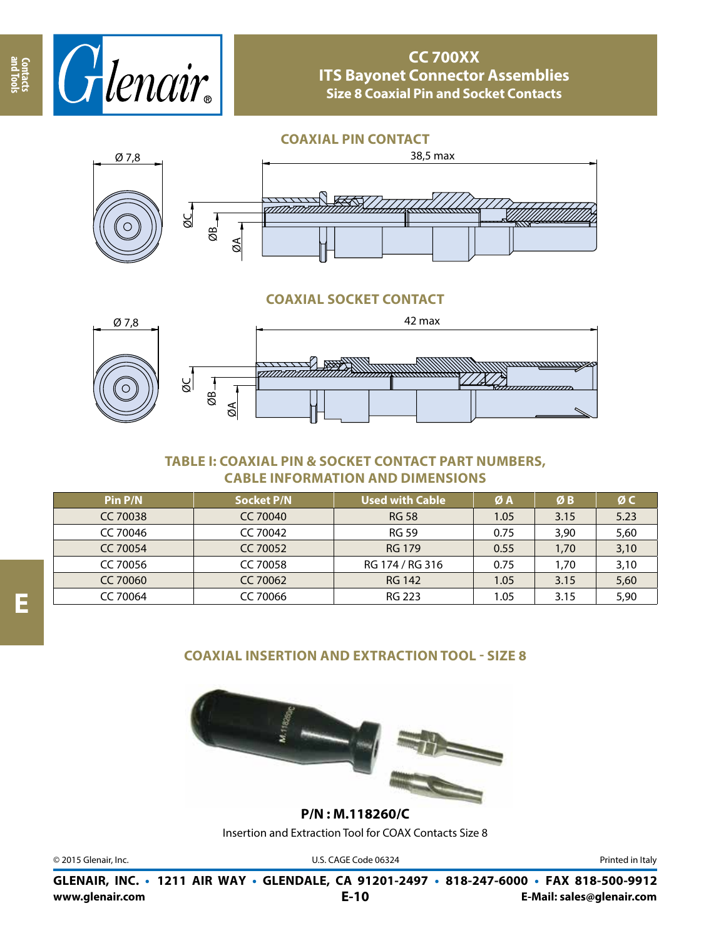

**CC 700XX ITS Bayonet Connector Assemblies Size 8 Coaxial Pin and Socket Contacts**

**COAXIAL PIN CONTACT**



## **COAXIAL SOCKET CONTACT**



## **TABLE I: COAXIAL PIN & SOCKET CONTACT PART NUMBERS, CABLE INFORMATION AND DIMENSIONS**

| Pin P/N         | <b>Socket P/N</b> | <b>Used with Cable</b> | ØA   | ØΒ   | ØC   |
|-----------------|-------------------|------------------------|------|------|------|
| <b>CC 70038</b> | CC 70040          | <b>RG 58</b>           | 1.05 | 3.15 | 5.23 |
| CC 70046        | CC 70042          | <b>RG 59</b>           | 0.75 | 3,90 | 5,60 |
| CC 70054        | CC 70052          | <b>RG 179</b>          | 0.55 | 1,70 | 3,10 |
| CC 70056        | CC 70058          | RG 174 / RG 316        | 0.75 | 1,70 | 3,10 |
| CC 70060        | CC 70062          | RG 142                 | 1.05 | 3.15 | 5,60 |
| CC 70064        | CC 70066          | RG 223                 | 1.05 | 3.15 | 5,90 |

## **COAXIAL INSERTION AND EXTRACTION TOOL - SIZE 8**



Insertion and Extraction Tool for COAX Contacts Size 8 **P/N : M.118260/C**

© 2015 Glenair, Inc. **Discription Construction Construction Construction Construction Construction Construction Construction Construction Construction Construction Construction Construction Construction Construction Constr** 

**www.glenair.com E-Mail: sales@glenair.com GLENAIR, INC. • 1211 AIR WAY • GLENDALE, CA 91201-2497 • 818-247-6000 • FAX 818-500-9912 E-10**

**and Tools Contacts**